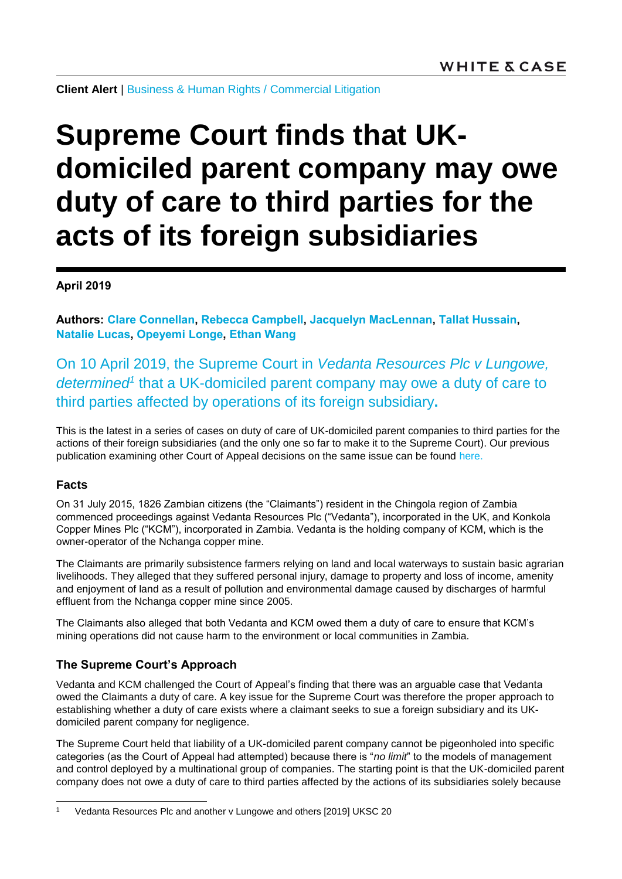**Client Alert** | [Business & Human Rights](https://www.whitecase.com/law/practices/business-human-rights) / [Commercial Litigation](https://www.whitecase.com/law/practices/commercial-litigation)

# **Supreme Court finds that UKdomiciled parent company may owe duty of care to third parties for the acts of its foreign subsidiaries**

**April 2019**

**Authors: [Clare Connellan,](https://www.whitecase.com/people/clare-connellan) [Rebecca Campbell,](https://www.whitecase.com/people/rebecca-campbell) [Jacquelyn MacLennan,](https://www.whitecase.com/people/jacquelyn-maclennan) [Tallat Hussain,](https://www.whitecase.com/people/tallat-hussain) [Natalie Lucas,](https://www.whitecase.com/people/natalie-lucas) [Opeyemi Longe,](mailto:opeyemi.longe@whitecase.com) [Ethan Wang](https://www.whitecase.com/people/ethan-wang)**

On 10 April 2019, the Supreme Court in *Vedanta Resources Plc v Lungowe, determined<sup>1</sup>* that a UK-domiciled parent company may owe a duty of care to third parties affected by operations of its foreign subsidiary**.**

This is the latest in a series of cases on duty of care of UK-domiciled parent companies to third parties for the actions of their foreign subsidiaries (and the only one so far to make it to the Supreme Court). Our previous publication examining other Court of Appeal decisions on the same issue can be found [here.](https://www.whitecase.com/publications/alert/parent-company-liability-no-arguable-basis-impose-duty-care-uk-parent-company)

#### **Facts**

l

On 31 July 2015, 1826 Zambian citizens (the "Claimants") resident in the Chingola region of Zambia commenced proceedings against Vedanta Resources Plc ("Vedanta"), incorporated in the UK, and Konkola Copper Mines Plc ("KCM"), incorporated in Zambia. Vedanta is the holding company of KCM, which is the owner-operator of the Nchanga copper mine.

The Claimants are primarily subsistence farmers relying on land and local waterways to sustain basic agrarian livelihoods. They alleged that they suffered personal injury, damage to property and loss of income, amenity and enjoyment of land as a result of pollution and environmental damage caused by discharges of harmful effluent from the Nchanga copper mine since 2005.

The Claimants also alleged that both Vedanta and KCM owed them a duty of care to ensure that KCM's mining operations did not cause harm to the environment or local communities in Zambia.

## **The Supreme Court's Approach**

Vedanta and KCM challenged the Court of Appeal's finding that there was an arguable case that Vedanta owed the Claimants a duty of care. A key issue for the Supreme Court was therefore the proper approach to establishing whether a duty of care exists where a claimant seeks to sue a foreign subsidiary and its UKdomiciled parent company for negligence.

The Supreme Court held that liability of a UK-domiciled parent company cannot be pigeonholed into specific categories (as the Court of Appeal had attempted) because there is "*no limit*" to the models of management and control deployed by a multinational group of companies. The starting point is that the UK-domiciled parent company does not owe a duty of care to third parties affected by the actions of its subsidiaries solely because

<sup>1</sup> Vedanta Resources Plc and another v Lungowe and others [2019] UKSC 20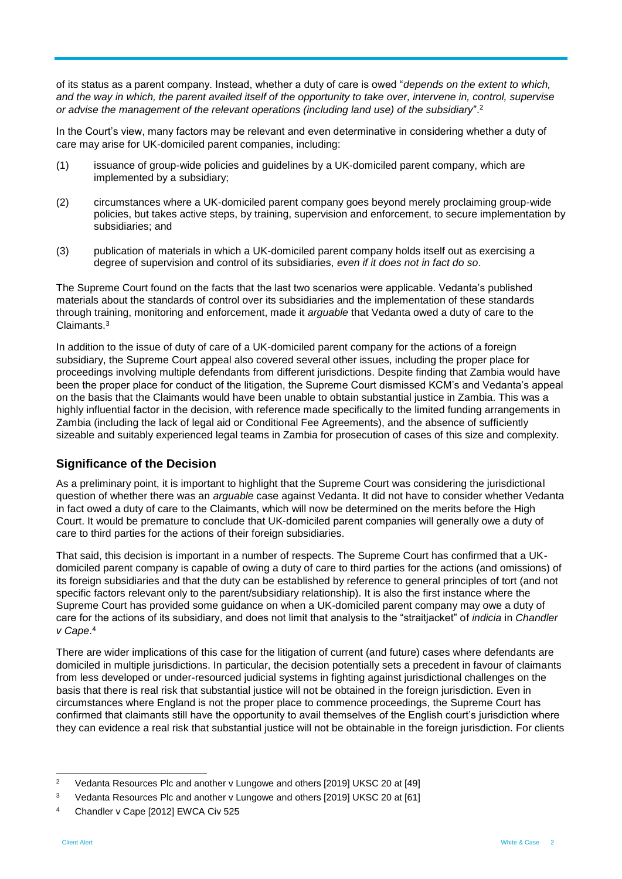of its status as a parent company. Instead, whether a duty of care is owed "*depends on the extent to which, and the way in which, the parent availed itself of the opportunity to take over, intervene in, control, supervise or advise the management of the relevant operations (including land use) of the subsidiary*".<sup>2</sup>

In the Court's view, many factors may be relevant and even determinative in considering whether a duty of care may arise for UK-domiciled parent companies, including:

- (1) issuance of group-wide policies and guidelines by a UK-domiciled parent company, which are implemented by a subsidiary;
- (2) circumstances where a UK-domiciled parent company goes beyond merely proclaiming group-wide policies, but takes active steps, by training, supervision and enforcement, to secure implementation by subsidiaries; and
- (3) publication of materials in which a UK-domiciled parent company holds itself out as exercising a degree of supervision and control of its subsidiaries, *even if it does not in fact do so*.

The Supreme Court found on the facts that the last two scenarios were applicable. Vedanta's published materials about the standards of control over its subsidiaries and the implementation of these standards through training, monitoring and enforcement, made it *arguable* that Vedanta owed a duty of care to the Claimants.<sup>3</sup>

In addition to the issue of duty of care of a UK-domiciled parent company for the actions of a foreign subsidiary, the Supreme Court appeal also covered several other issues, including the proper place for proceedings involving multiple defendants from different jurisdictions. Despite finding that Zambia would have been the proper place for conduct of the litigation, the Supreme Court dismissed KCM's and Vedanta's appeal on the basis that the Claimants would have been unable to obtain substantial justice in Zambia. This was a highly influential factor in the decision, with reference made specifically to the limited funding arrangements in Zambia (including the lack of legal aid or Conditional Fee Agreements), and the absence of sufficiently sizeable and suitably experienced legal teams in Zambia for prosecution of cases of this size and complexity.

## **Significance of the Decision**

As a preliminary point, it is important to highlight that the Supreme Court was considering the jurisdictional question of whether there was an *arguable* case against Vedanta. It did not have to consider whether Vedanta in fact owed a duty of care to the Claimants, which will now be determined on the merits before the High Court. It would be premature to conclude that UK-domiciled parent companies will generally owe a duty of care to third parties for the actions of their foreign subsidiaries.

That said, this decision is important in a number of respects. The Supreme Court has confirmed that a UKdomiciled parent company is capable of owing a duty of care to third parties for the actions (and omissions) of its foreign subsidiaries and that the duty can be established by reference to general principles of tort (and not specific factors relevant only to the parent/subsidiary relationship). It is also the first instance where the Supreme Court has provided some guidance on when a UK-domiciled parent company may owe a duty of care for the actions of its subsidiary, and does not limit that analysis to the "straitjacket" of *indicia* in *Chandler v Cape*. 4

There are wider implications of this case for the litigation of current (and future) cases where defendants are domiciled in multiple jurisdictions. In particular, the decision potentially sets a precedent in favour of claimants from less developed or under-resourced judicial systems in fighting against jurisdictional challenges on the basis that there is real risk that substantial justice will not be obtained in the foreign jurisdiction. Even in circumstances where England is not the proper place to commence proceedings, the Supreme Court has confirmed that claimants still have the opportunity to avail themselves of the English court's jurisdiction where they can evidence a real risk that substantial justice will not be obtainable in the foreign jurisdiction. For clients

 $\overline{2}$ <sup>2</sup> Vedanta Resources Plc and another v Lungowe and others [2019] UKSC 20 at [49]

<sup>3</sup> Vedanta Resources Plc and another v Lungowe and others [2019] UKSC 20 at [61]

<sup>4</sup> Chandler v Cape [2012] EWCA Civ 525